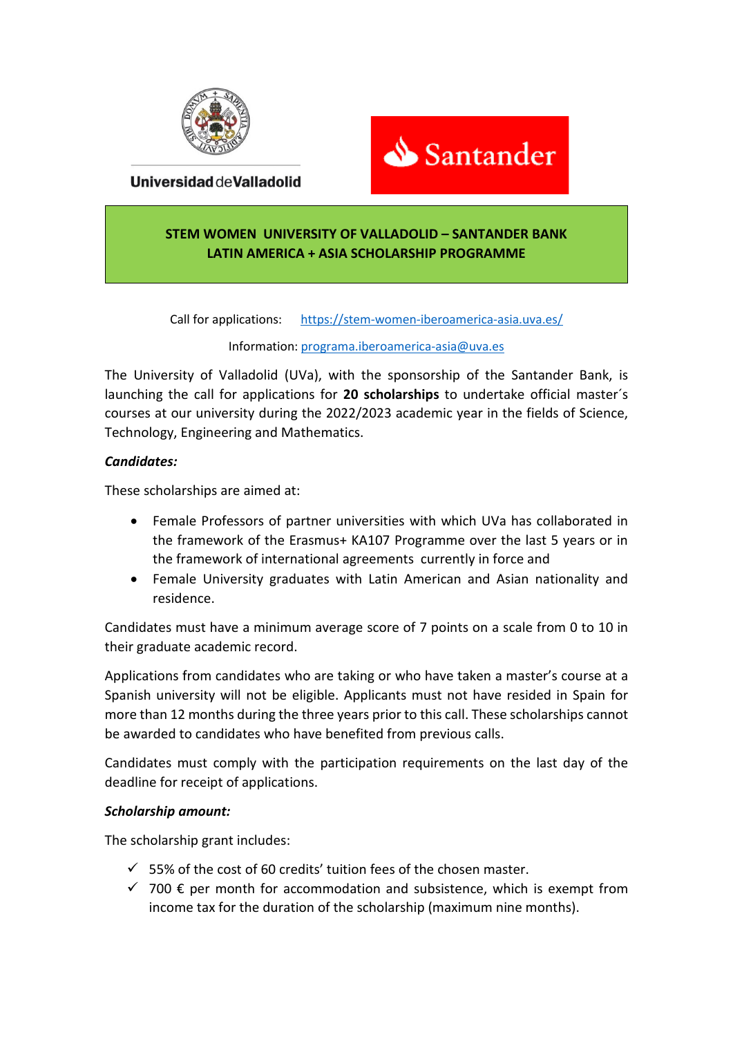

Santander

Universidad de Valladolid

# **STEM WOMEN UNIVERSITY OF VALLADOLID – SANTANDER BANK LATIN AMERICA + ASIA SCHOLARSHIP PROGRAMME**

Call for applications: <https://stem-women-iberoamerica-asia.uva.es/>

### Information[: programa.iberoamerica-asia@uva.es](mailto:programa.iberoamerica-asia@uva.es)

The University of Valladolid (UVa), with the sponsorship of the Santander Bank, is launching the call for applications for **20 scholarships** to undertake official master´s courses at our university during the 2022/2023 academic year in the fields of Science, Technology, Engineering and Mathematics.

## *Candidates:*

These scholarships are aimed at:

- Female Professors of partner universities with which UVa has collaborated in the framework of the Erasmus+ KA107 Programme over the last 5 years or in the framework of international agreements currently in force and
- Female University graduates with Latin American and Asian nationality and residence.

Candidates must have a minimum average score of 7 points on a scale from 0 to 10 in their graduate academic record.

Applications from candidates who are taking or who have taken a master's course at a Spanish university will not be eligible. Applicants must not have resided in Spain for more than 12 months during the three years prior to this call. These scholarships cannot be awarded to candidates who have benefited from previous calls.

Candidates must comply with the participation requirements on the last day of the deadline for receipt of applications.

### *Scholarship amount:*

The scholarship grant includes:

- $\checkmark$  55% of the cost of 60 credits' tuition fees of the chosen master.
- $\checkmark$  700  $\epsilon$  per month for accommodation and subsistence, which is exempt from income tax for the duration of the scholarship (maximum nine months).